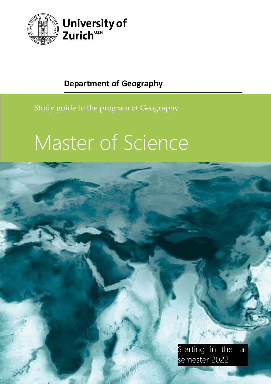



## Study guide to the program of Geography

# Master of Science

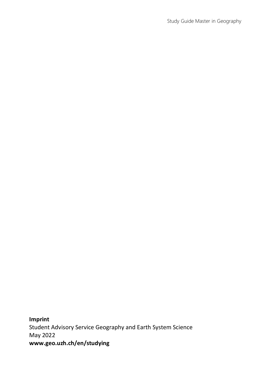Study Guide Master in Geography

**Imprint** Student Advisory Service Geography and Earth System Science May 2022 **[www.geo.uzh.ch/en/studying](http://www.geo.uzh.ch/en/studying/)**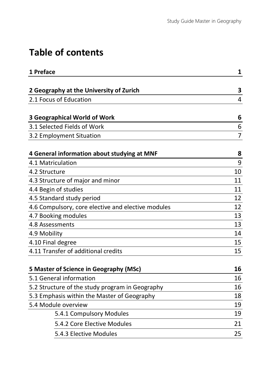## **Table of contents**

| 1 Preface                                          | 1              |
|----------------------------------------------------|----------------|
|                                                    |                |
| 2 Geography at the University of Zurich            | 3              |
| 2.1 Focus of Education                             | 4              |
|                                                    |                |
| <b>3 Geographical World of Work</b>                | 6              |
| 3.1 Selected Fields of Work                        | 6              |
| 3.2 Employment Situation                           | $\overline{7}$ |
| 4 General information about studying at MNF        | 8              |
| 4.1 Matriculation                                  | 9              |
| 4.2 Structure                                      | 10             |
| 4.3 Structure of major and minor                   | 11             |
| 4.4 Begin of studies                               | 11             |
| 4.5 Standard study period                          | 12             |
| 4.6 Compulsory, core elective and elective modules | 12             |
| 4.7 Booking modules                                | 13             |
| 4.8 Assessments                                    | 13             |
| 4.9 Mobility                                       | 14             |
| 4.10 Final degree                                  | 15             |
| 4.11 Transfer of additional credits                | 15             |
| 5 Master of Science in Geography (MSc)             | 16             |
| 5.1 General information                            | 16             |
| 5.2 Structure of the study program in Geography    | 16             |
| 5.3 Emphasis within the Master of Geography        | 18             |
| 5.4 Module overview                                | 19             |
| 5.4.1 Compulsory Modules                           | 19             |
| 5.4.2 Core Elective Modules                        | 21             |
| 5.4.3 Elective Modules                             | 25             |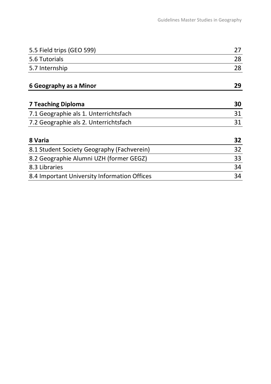| 5.5 Field trips (GEO 599)                    | 27 |
|----------------------------------------------|----|
| 5.6 Tutorials                                | 28 |
| 5.7 Internship                               | 28 |
| 6 Geography as a Minor                       | 29 |
| <b>7 Teaching Diploma</b>                    | 30 |
| 7.1 Geographie als 1. Unterrichtsfach        | 31 |
| 7.2 Geographie als 2. Unterrichtsfach        | 31 |
| 8 Varia                                      | 32 |
| 8.1 Student Society Geography (Fachverein)   | 32 |
| 8.2 Geographie Alumni UZH (former GEGZ)      | 33 |
| 8.3 Libraries                                | 34 |
| 8.4 Important University Information Offices | 34 |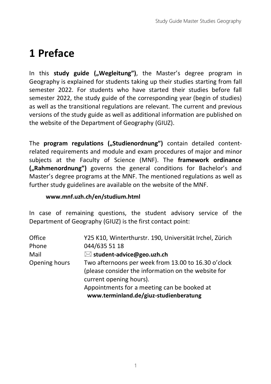## <span id="page-4-0"></span>**1 Preface**

In this **study guide ("Wegleitung")**, the Master's degree program in Geography is explained for students taking up their studies starting from fall semester 2022. For students who have started their studies before fall semester 2022, the study guide of the corresponding year (begin of studies) as well as the transitional regulations are relevant. The current and previous versions of the study guide as well as additional information are published on the website of the Department of Geography (GIUZ).

The **program regulations ("Studienordnung")** contain detailed contentrelated requirements and module and exam procedures of major and minor subjects at the Faculty of Science (MNF). The **framework ordinance ("Rahmenordnung")** governs the general conditions for Bachelor's and Master's degree programs at the MNF. The mentioned regulations as well as further study guidelines are available on the website of the MNF.

#### **[www.mnf.uzh.ch/en/studium.html](http://www.mnf.uzh.ch/en/studium.html)**

In case of remaining questions, the student advisory service of the Department of Geography (GIUZ) is the first contact point:

| Office        | Y25 K10, Winterthurstr. 190, Universität Irchel, Zürich |
|---------------|---------------------------------------------------------|
| Phone         | 044/635 51 18                                           |
| Mail          | $\boxtimes$ student-advice@geo.uzh.ch                   |
| Opening hours | Two afternoons per week from 13.00 to 16.30 o'clock     |
|               | (please consider the information on the website for     |
|               | current opening hours).                                 |
|               | Appointments for a meeting can be booked at             |
|               | www.terminland.de/giuz-studienberatung                  |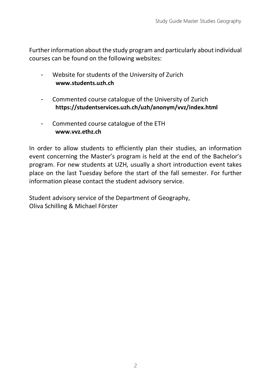Further information about the study program and particularly about individual courses can be found on the following websites:

- Website for students of the University of Zurich **[www.students.uzh.ch](http://www.students.uzh.ch/)**
- Commented course catalogue of the University of Zurich **<https://studentservices.uzh.ch/uzh/anonym/vvz/index.html>**
- Commented course catalogue of the ETH **[www.vvz.ethz.ch](http://www.vvz.ethz.ch/)**

In order to allow students to efficiently plan their studies, an information event concerning the Master's program is held at the end of the Bachelor's program. For new students at UZH, usually a short introduction event takes place on the last Tuesday before the start of the fall semester. For further information please contact the student advisory service.

Student advisory service of the Department of Geography, Oliva Schilling & Michael Förster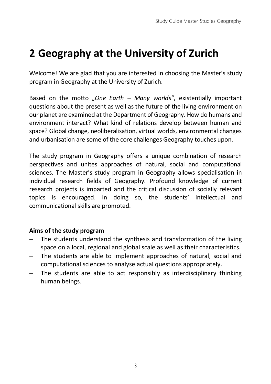## <span id="page-6-0"></span>**2 Geography at the University of Zurich**

Welcome! We are glad that you are interested in choosing the Master's study program in Geography at the University of Zurich.

Based on the motto *"One Earth – Many worlds"*, existentially important questions about the present as well as the future of the living environment on our planet are examined at the Department of Geography. How do humans and environment interact? What kind of relations develop between human and space? Global change, neoliberalisation, virtual worlds, environmental changes and urbanisation are some of the core challenges Geography touches upon.

The study program in Geography offers a unique combination of research perspectives and unites approaches of natural, social and computational sciences. The Master's study program in Geography allows specialisation in individual research fields of Geography. Profound knowledge of current research projects is imparted and the critical discussion of socially relevant topics is encouraged. In doing so, the students' intellectual and communicational skills are promoted.

#### **Aims of the study program**

- − The students understand the synthesis and transformation of the living space on a local, regional and global scale as well as their characteristics.
- The students are able to implement approaches of natural, social and computational sciences to analyse actual questions appropriately.
- The students are able to act responsibly as interdisciplinary thinking human beings.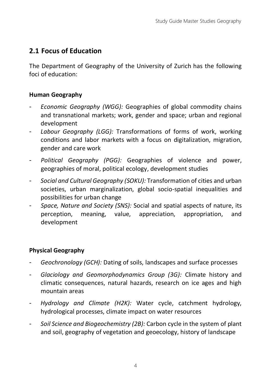## <span id="page-7-0"></span>**2.1 Focus of Education**

The Department of Geography of the University of Zurich has the following foci of education:

#### **Human Geography**

- *Economic Geography (WGG):* Geographies of global commodity chains and transnational markets; work, gender and space; urban and regional development
- *Labour Geography (LGG):* Transformations of forms of work, working conditions and labor markets with a focus on digitalization, migration, gender and care work
- *Political Geography (PGG):* Geographies of violence and power, geographies of moral, political ecology, development studies
- *Social and Cultural Geography (SOKU):* Transformation of cities and urban societies, urban marginalization, global socio-spatial inequalities and possibilities for urban change
- *Space, Nature and Society (SNS):* Social and spatial aspects of nature, its perception, meaning, value, appreciation, appropriation, and development

### **Physical Geography**

- *Geochronology (GCH):* Dating of soils, landscapes and surface processes
- *Glaciology and Geomorphodynamics Group (3G):* Climate history and climatic consequences, natural hazards, research on ice ages and high mountain areas
- *Hydrology and Climate (H2K):* Water cycle, catchment hydrology, hydrological processes, climate impact on water resources
- *Soil Science and Biogeochemistry (2B):* Carbon cycle in the system of plant and soil, geography of vegetation and geoecology, history of landscape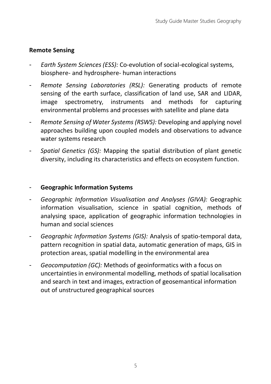### **Remote Sensing**

- *Earth System Sciences (ESS):* Co-evolution of social-ecological systems, biosphere- and hydrosphere- human interactions
- *Remote Sensing Laboratories (RSL):* Generating products of remote sensing of the earth surface, classification of land use, SAR and LIDAR, image spectrometry, instruments and methods for capturing environmental problems and processes with satellite and plane data
- *Remote Sensing of Water Systems (RSWS):* Developing and applying novel approaches building upon coupled models and observations to advance water systems research
- *Spatial Genetics (GS):* Mapping the spatial distribution of plant genetic diversity, including its characteristics and effects on ecosystem function.

#### - **Geographic Information Systems**

- *Geographic Information Visualisation and Analyses (GIVA):* Geographic information visualisation, science in spatial cognition, methods of analysing space, application of geographic information technologies in human and social sciences
- *Geographic Information Systems (GIS):* Analysis of spatio-temporal data, pattern recognition in spatial data, automatic generation of maps, GIS in protection areas, spatial modelling in the environmental area
- *Geocomputation (GC):* Methods of geoinformatics with a focus on uncertainties in environmental modelling, methods of spatial localisation and search in text and images, extraction of geosemantical information out of unstructured geographical sources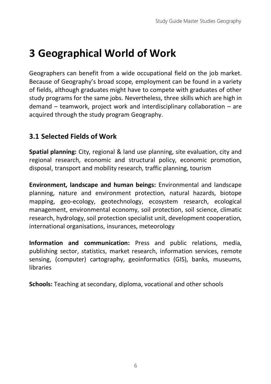## <span id="page-9-0"></span>**3 Geographical World of Work**

Geographers can benefit from a wide occupational field on the job market. Because of Geography's broad scope, employment can be found in a variety of fields, although graduates might have to compete with graduates of other study programs for the same jobs. Nevertheless, three skills which are high in demand – teamwork, project work and interdisciplinary collaboration – are acquired through the study program Geography.

## <span id="page-9-1"></span>**3.1 Selected Fields of Work**

**Spatial planning:** City, regional & land use planning, site evaluation, city and regional research, economic and structural policy, economic promotion, disposal, transport and mobility research, traffic planning, tourism

**Environment, landscape and human beings:** Environmental and landscape planning, nature and environment protection, natural hazards, biotope mapping, geo-ecology, geotechnology, ecosystem research, ecological management, environmental economy, soil protection, soil science, climatic research, hydrology, soil protection specialist unit, development cooperation, international organisations, insurances, meteorology

**Information and communication:** Press and public relations, media, publishing sector, statistics, market research, information services, remote sensing, (computer) cartography, geoinformatics (GIS), banks, museums, **libraries** 

**Schools:** Teaching at secondary, diploma, vocational and other schools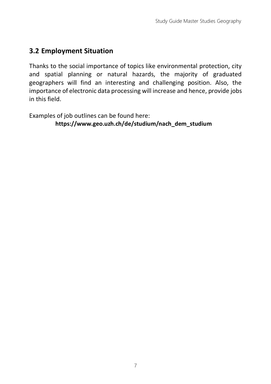## <span id="page-10-0"></span>**3.2 Employment Situation**

Thanks to the social importance of topics like environmental protection, city and spatial planning or natural hazards, the majority of graduated geographers will find an interesting and challenging position. Also, the importance of electronic data processing will increase and hence, provide jobs in this field.

Examples of job outlines can be found here: **[https://www.geo.uzh.ch/de/studium/nach\\_dem\\_studium](https://www.geo.uzh.ch/de/studium/nach_dem_studium)**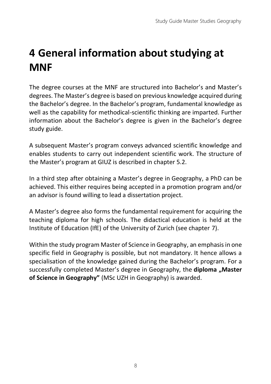## <span id="page-11-0"></span>**4 General information about studying at MNF**

The degree courses at the MNF are structured into Bachelor's and Master's degrees. The Master's degree is based on previous knowledge acquired during the Bachelor's degree. In the Bachelor's program, fundamental knowledge as well as the capability for methodical-scientific thinking are imparted. Further information about the Bachelor's degree is given in the Bachelor's degree study guide.

A subsequent Master's program conveys advanced scientific knowledge and enables students to carry out independent scientific work. The structure of the Master's program at GIUZ is described in chapter 5.2.

In a third step after obtaining a Master's degree in Geography, a PhD can be achieved. This either requires being accepted in a promotion program and/or an advisor is found willing to lead a dissertation project.

A Master's degree also forms the fundamental requirement for acquiring the teaching diploma for high schools. The didactical education is held at the Institute of Education (IfE) of the University of Zurich (see chapter 7).

Within the study program Master of Science in Geography, an emphasis in one specific field in Geography is possible, but not mandatory. It hence allows a specialisation of the knowledge gained during the Bachelor's program. For a successfully completed Master's degree in Geography, the **diploma "Master of Science in Geography"** (MSc UZH in Geography) is awarded.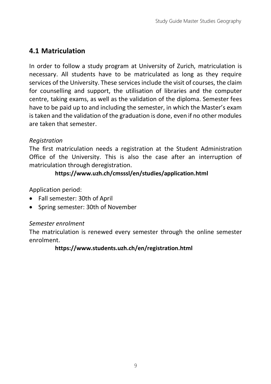## <span id="page-12-0"></span>**4.1 Matriculation**

In order to follow a study program at University of Zurich, matriculation is necessary. All students have to be matriculated as long as they require services of the University. These services include the visit of courses, the claim for counselling and support, the utilisation of libraries and the computer centre, taking exams, as well as the validation of the diploma. Semester fees have to be paid up to and including the semester, in which the Master's exam is taken and the validation of the graduation is done, even if no other modules are taken that semester.

#### *Registration*

The first matriculation needs a registration at the Student Administration Office of the University. This is also the case after an interruption of matriculation through deregistration.

### **<https://www.uzh.ch/cmsssl/en/studies/application.html>**

Application period:

- Fall semester: 30th of April
- Spring semester: 30th of November

#### *Semester enrolment*

The matriculation is renewed every semester through the online semester enrolment.

#### **<https://www.students.uzh.ch/en/registration.html>**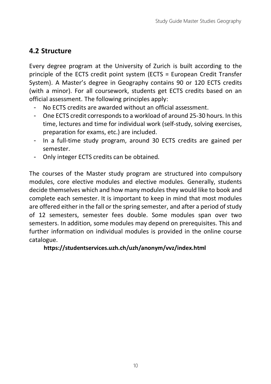## <span id="page-13-0"></span>**4.2 Structure**

Every degree program at the University of Zurich is built according to the principle of the ECTS credit point system (ECTS = European Credit Transfer System). A Master's degree in Geography contains 90 or 120 ECTS credits (with a minor). For all coursework, students get ECTS credits based on an official assessment. The following principles apply:

- No ECTS credits are awarded without an official assessment.
- One ECTS credit corresponds to a workload of around 25-30 hours. In this time, lectures and time for individual work (self-study, solving exercises, preparation for exams, etc.) are included.
- In a full-time study program, around 30 ECTS credits are gained per semester.
- Only integer ECTS credits can be obtained.

The courses of the Master study program are structured into compulsory modules, core elective modules and elective modules. Generally, students decide themselves which and how many modules they would like to book and complete each semester. It is important to keep in mind that most modules are offered either in the fall or the spring semester, and after a period of study of 12 semesters, semester fees double. Some modules span over two semesters. In addition, some modules may depend on prerequisites. This and further information on individual modules is provided in the online course catalogue.

#### **<https://studentservices.uzh.ch/uzh/anonym/vvz/index.html>**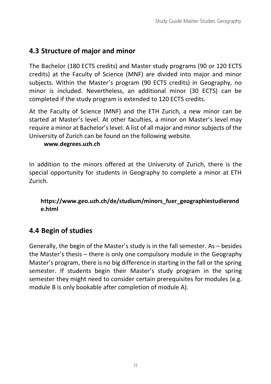## <span id="page-14-0"></span>**4.3 Structure of major and minor**

The Bachelor (180 ECTS credits) and Master study programs (90 or 120 ECTS credits) at the Faculty of Science (MNF) are divided into major and minor subjects. Within the Master's program (90 ECTS credits) in Geography, no minor is included. Nevertheless, an additional minor (30 ECTS) can be completed if the study program is extended to 120 ECTS credits.

At the Faculty of Science (MNF) and the ETH Zurich, a new minor can be started at Master's level. At other faculties, a minor on Master's level may require a minor at Bachelor's level. A list of all major and minor subjects of the University of Zurich can be found on the following website.

#### **[www.degrees.uzh.ch](http://www.degrees.uzh.ch/index.php?lang=en)**

In addition to the minors offered at the University of Zurich, there is the special opportunity for students in Geography to complete a minor at ETH Zurich.

#### **[https://www.geo.uzh.ch/de/studium/minors\\_fuer\\_geographiestudierend](https://www.geo.uzh.ch/de/studium/minors_fuer_geographiestudierende.html) [e.html](https://www.geo.uzh.ch/de/studium/minors_fuer_geographiestudierende.html)**

## <span id="page-14-1"></span>**4.4 Begin of studies**

Generally, the begin of the Master's study is in the fall semester. As – besides the Master's thesis – there is only one compulsory module in the Geography Master's program, there is no big difference in starting in the fall or the spring semester. If students begin their Master's study program in the spring semester they might need to consider certain prerequisites for modules (e.g. module B is only bookable after completion of module A).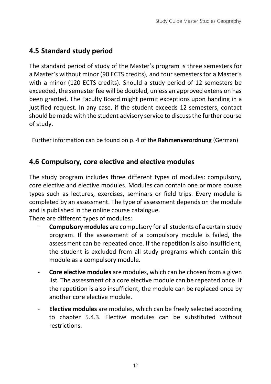## <span id="page-15-0"></span>**4.5 Standard study period**

The standard period of study of the Master's program is three semesters for a Master's without minor (90 ECTS credits), and four semesters for a Master's with a minor (120 ECTS credits). Should a study period of 12 semesters be exceeded, the semester fee will be doubled, unless an approved extension has been granted. The Faculty Board might permit exceptions upon handing in a justified request. In any case, if the student exceeds 12 semesters, contact should be made with the student advisory service to discuss the further course of study.

<span id="page-15-1"></span>Further information can be found on p. 4 of the **[Rahmenverordnung](http://www2.zhlex.zh.ch/appl/zhlex_r.nsf/WebView/B9D6FE5C1FF1BE6FC12586B9002396D7/%24File/415.462_24.8.20_(Vollversion)_113.pdf)** (German)

## **4.6 Compulsory, core elective and elective modules**

The study program includes three different types of modules: compulsory, core elective and elective modules. Modules can contain one or more course types such as lectures, exercises, seminars or field trips. Every module is completed by an assessment. The type of assessment depends on the module and is published in the online course catalogue.

There are different types of modules:

- **Compulsory modules** are compulsory for all students of a certain study program. If the assessment of a compulsory module is failed, the assessment can be repeated once. If the repetition is also insufficient, the student is excluded from all study programs which contain this module as a compulsory module.
- **Core elective modules** are modules, which can be chosen from a given list. The assessment of a core elective module can be repeated once. If the repetition is also insufficient, the module can be replaced once by another core elective module.
- **Elective modules** are modules, which can be freely selected according to chapter 5.4.3. Elective modules can be substituted without restrictions.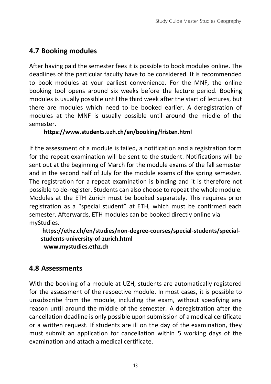## <span id="page-16-0"></span>**4.7 Booking modules**

After having paid the semester fees it is possible to book modules online. The deadlines of the particular faculty have to be considered. It is recommended to book modules at your earliest convenience. For the MNF, the online booking tool opens around six weeks before the lecture period. Booking modules is usually possible until the third week after the start of lectures, but there are modules which need to be booked earlier. A deregistration of modules at the MNF is usually possible until around the middle of the semester.

### **<https://www.students.uzh.ch/en/booking/fristen.html>**

If the assessment of a module is failed, a notification and a registration form for the repeat examination will be sent to the student. Notifications will be sent out at the beginning of March for the module exams of the fall semester and in the second half of July for the module exams of the spring semester. The registration for a repeat examination is binding and it is therefore not possible to de-register. Students can also choose to repeat the whole module. Modules at the ETH Zurich must be booked separately. This requires prior registration as a "special student" at ETH, which must be confirmed each semester. Afterwards, ETH modules can be booked directly online via myStudies.

**[https://ethz.ch/en/studies/non-degree-courses/special-students/special](https://ethz.ch/en/studies/non-degree-courses/special-students/special-students-university-of-zurich.html)[students-university-of-zurich.html](https://ethz.ch/en/studies/non-degree-courses/special-students/special-students-university-of-zurich.html) [www.mystudies.ethz.ch](http://www.mystudies.ethz.ch/)**

## <span id="page-16-1"></span>**4.8 Assessments**

With the booking of a module at UZH, students are automatically registered for the assessment of the respective module. In most cases, it is possible to unsubscribe from the module, including the exam, without specifying any reason until around the middle of the semester. A deregistration after the cancellation deadline is only possible upon submission of a medical certificate or a written request. If students are ill on the day of the examination, they must submit an application for cancellation within 5 working days of the examination and attach a medical certificate.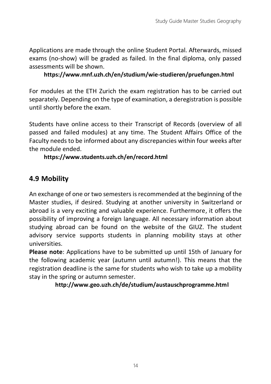Applications are made through the online Student Portal. Afterwards, missed exams (no-show) will be graded as failed. In the final diploma, only passed assessments will be shown.

#### **<https://www.mnf.uzh.ch/en/studium/wie-studieren/pruefungen.html>**

For modules at the ETH Zurich the exam registration has to be carried out separately. Depending on the type of examination, a deregistration is possible until shortly before the exam.

Students have online access to their Transcript of Records (overview of all passed and failed modules) at any time. The Student Affairs Office of the Faculty needs to be informed about any discrepancies within four weeks after the module ended.

#### **<https://www.students.uzh.ch/en/record.html>**

## <span id="page-17-0"></span>**4.9 Mobility**

An exchange of one or two semesters is recommended at the beginning of the Master studies, if desired. Studying at another university in Switzerland or abroad is a very exciting and valuable experience. Furthermore, it offers the possibility of improving a foreign language. All necessary information about studying abroad can be found on the website of the GIUZ. The student advisory service supports students in planning mobility stays at other universities.

**Please note**: Applications have to be submitted up until 15th of January for the following academic year (autumn until autumn!). This means that the registration deadline is the same for students who wish to take up a mobility stay in the spring or autumn semester.

**<http://www.geo.uzh.ch/de/studium/austauschprogramme.html>**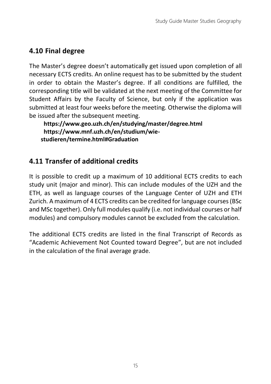## <span id="page-18-0"></span>**4.10 Final degree**

The Master's degree doesn't automatically get issued upon completion of all necessary ECTS credits. An online request has to be submitted by the student in order to obtain the Master's degree. If all conditions are fulfilled, the corresponding title will be validated at the next meeting of the Committee for Student Affairs by the Faculty of Science, but only if the application was submitted at least four weeks before the meeting. Otherwise the diploma will be issued after the subsequent meeting.

**<https://www.geo.uzh.ch/en/studying/master/degree.html> [https://www.mnf.uzh.ch/en/studium/wie](https://www.mnf.uzh.ch/en/studium/wie-studieren/termine.html#Graduation)[studieren/termine.html#Graduation](https://www.mnf.uzh.ch/en/studium/wie-studieren/termine.html#Graduation)**

## <span id="page-18-1"></span>**4.11 Transfer of additional credits**

It is possible to credit up a maximum of 10 additional ECTS credits to each study unit (major and minor). This can include modules of the UZH and the ETH, as well as language courses of the Language Center of UZH and ETH Zurich. A maximum of 4 ECTS credits can be credited for language courses (BSc and MSc together). Only full modules qualify (i.e. not individual courses or half modules) and compulsory modules cannot be excluded from the calculation.

The additional ECTS credits are listed in the final Transcript of Records as "Academic Achievement Not Counted toward Degree", but are not included in the calculation of the final average grade.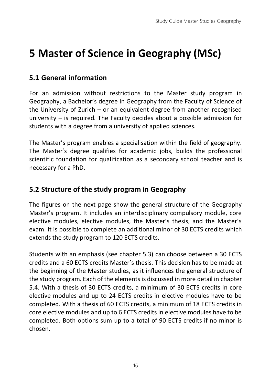## <span id="page-19-0"></span>**5 Master of Science in Geography (MSc)**

## <span id="page-19-1"></span>**5.1 General information**

For an admission without restrictions to the Master study program in Geography, a Bachelor's degree in Geography from the Faculty of Science of the University of Zurich – or an equivalent degree from another recognised university – is required. The Faculty decides about a possible admission for students with a degree from a university of applied sciences.

The Master's program enables a specialisation within the field of geography. The Master's degree qualifies for academic jobs, builds the professional scientific foundation for qualification as a secondary school teacher and is necessary for a PhD.

## <span id="page-19-2"></span>**5.2 Structure of the study program in Geography**

The figures on the next page show the general structure of the Geography Master's program. It includes an interdisciplinary compulsory module, core elective modules, elective modules, the Master's thesis, and the Master's exam. It is possible to complete an additional minor of 30 ECTS credits which extends the study program to 120 ECTS credits.

Students with an emphasis (see chapter 5.3) can choose between a 30 ECTS credits and a 60 ECTS credits Master's thesis. This decision has to be made at the beginning of the Master studies, as it influences the general structure of the study program. Each of the elements is discussed in more detail in chapter 5.4. With a thesis of 30 ECTS credits, a minimum of 30 ECTS credits in core elective modules and up to 24 ECTS credits in elective modules have to be completed. With a thesis of 60 ECTS credits, a minimum of 18 ECTS credits in core elective modules and up to 6 ECTS credits in elective modules have to be completed. Both options sum up to a total of 90 ECTS credits if no minor is chosen.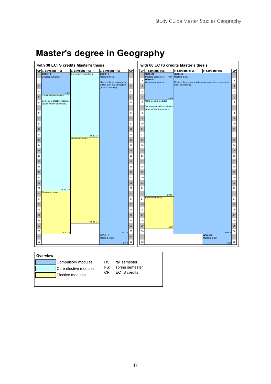| with 30 ECTS credits Master's thesis                                                                                                                                                                                                                                                                                                                                                                                            |                                                                     |                                                                                                                     |                                                                                                                                                                                                                                              | with 60 ECTS credits Master's thesis                                                                                                                                                                                                                                                                                                                                                                                                                |                                                                                                                  |                                                                                                                                                                                                                                                          |
|---------------------------------------------------------------------------------------------------------------------------------------------------------------------------------------------------------------------------------------------------------------------------------------------------------------------------------------------------------------------------------------------------------------------------------|---------------------------------------------------------------------|---------------------------------------------------------------------------------------------------------------------|----------------------------------------------------------------------------------------------------------------------------------------------------------------------------------------------------------------------------------------------|-----------------------------------------------------------------------------------------------------------------------------------------------------------------------------------------------------------------------------------------------------------------------------------------------------------------------------------------------------------------------------------------------------------------------------------------------------|------------------------------------------------------------------------------------------------------------------|----------------------------------------------------------------------------------------------------------------------------------------------------------------------------------------------------------------------------------------------------------|
| CP 7. Semester (HS)                                                                                                                                                                                                                                                                                                                                                                                                             | 8. Semester (FS)                                                    | 9. Semester (HS)                                                                                                    | СP                                                                                                                                                                                                                                           | CP 7. Semester (HS)                                                                                                                                                                                                                                                                                                                                                                                                                                 | 8. Semester (FS)<br>9. Semester (HS)                                                                             | $\overline{CP}$                                                                                                                                                                                                                                          |
| <b>GEO 410</b><br>$\overline{1}$<br>Geography.Matters.<br>$\mathbf 2$<br>$\overline{\mathbf{3}}$<br>$\sqrt{4}$<br>4 CP<br>Core elective modules<br>$\sqrt{5}$<br>Some core elective modules<br>6<br>span over two semesters.<br>$\overline{7}$<br>8<br>$\overline{9}$<br>10<br>11<br>12<br>13<br>14<br>15<br>16<br>17<br>18<br>19<br>20<br>21<br>22<br>ca. 18 CP<br>Elective modules<br>23<br>$\bf{24}$<br>25<br>26<br>27<br>28 | Core elective modules<br>ca. 12 CP<br>Elective modules<br>ca. 16 CP | <b>GEO 511</b><br>Master's thesis<br>Master's thesis may also be<br>written over two semesters<br>(max. 12 months). | $\overline{1}$<br>$\,$ 2 $\,$<br>$\mathsf 3$<br>$\sqrt{4}$<br>$\mathbf 5$<br>$\,$ 6<br>$\overline{\mathfrak{r}}$<br>8<br>9<br>10<br>11<br>12<br>13<br>14<br>15<br>16<br>17<br>18<br>19<br>20<br>21<br>22<br>23<br>24<br>25<br>26<br>27<br>28 | <b>GEO 400</b><br>$\overline{1}$<br>Master's agreement<br><b>GEO 410</b><br>$\mathbf 2$<br>Geography.Matters.<br>$\overline{\mathbf{3}}$<br>$\ddot{a}$<br>5<br>4 CP<br>Core elective modules<br>6<br>Some core elective modules<br>$\overline{7}$<br>span over two semesters.<br>8<br>$\overline{9}$<br>10<br>11<br>12<br>13<br>14<br>15<br>16<br>17<br>18<br>19<br>20<br>21<br>22<br>23<br>18 CP<br>Elective modules<br>24<br>25<br>26<br>27<br>28 | GEO 510<br>0 CP Master's thesis<br>Master's thesis may also be written over three semesters<br>(max. 18 months). | $\overline{1}$<br>$\mathbf 2$<br>$\overline{\mathbf{3}}$<br>$\boldsymbol{4}$<br>5<br>6<br>$\overline{\mathfrak{r}}$<br>8<br>$^{\rm 9}$<br>10<br>11<br>12<br>13<br>14<br>15<br>16<br>17<br>18<br>19<br>20<br>21<br>22<br>23<br>24<br>25<br>26<br>27<br>28 |
| 29<br>30<br>ca. 8 CP<br>31<br>32                                                                                                                                                                                                                                                                                                                                                                                                |                                                                     | 30 CP<br><b>GEO 512</b><br>Master's exam<br>2CP                                                                     | 29<br>30<br>31<br>32                                                                                                                                                                                                                         | 29<br>6 <sub>CP</sub><br>30<br>31<br>32                                                                                                                                                                                                                                                                                                                                                                                                             | 60 CP<br><b>GEO 512</b><br>Master's exam<br>2 CP                                                                 | 29<br>30<br>31<br>32                                                                                                                                                                                                                                     |
| Overview                                                                                                                                                                                                                                                                                                                                                                                                                        | Compulsory modules<br>$\cdots$ $\cdots$ $\cdots$                    | HS:<br>fall semester<br>FS.<br>enring competer                                                                      |                                                                                                                                                                                                                                              |                                                                                                                                                                                                                                                                                                                                                                                                                                                     |                                                                                                                  |                                                                                                                                                                                                                                                          |

## **Master's degree in Geography**

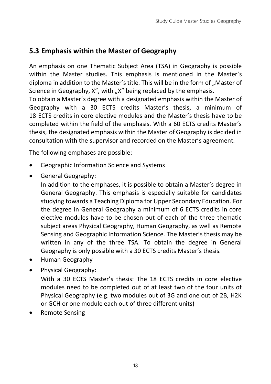## <span id="page-21-0"></span>**5.3 Emphasis within the Master of Geography**

An emphasis on one Thematic Subject Area (TSA) in Geography is possible within the Master studies. This emphasis is mentioned in the Master's diploma in addition to the Master's title. This will be in the form of "Master of Science in Geography, X", with "X" being replaced by the emphasis.

To obtain a Master's degree with a designated emphasis within the Master of Geography with a 30 ECTS credits Master's thesis, a minimum of 18 ECTS credits in core elective modules and the Master's thesis have to be completed within the field of the emphasis. With a 60 ECTS credits Master's thesis, the designated emphasis within the Master of Geography is decided in consultation with the supervisor and recorded on the Master's agreement.

The following emphases are possible:

- Geographic Information Science and Systems
- General Geography:

In addition to the emphases, it is possible to obtain a Master's degree in General Geography. This emphasis is especially suitable for candidates studying towards a Teaching Diploma for Upper Secondary Education. For the degree in General Geography a minimum of 6 ECTS credits in core elective modules have to be chosen out of each of the three thematic subject areas Physical Geography, Human Geography, as well as Remote Sensing and Geographic Information Science. The Master's thesis may be written in any of the three TSA. To obtain the degree in General Geography is only possible with a 30 ECTS credits Master's thesis.

- Human Geography
- Physical Geography:

With a 30 ECTS Master's thesis: The 18 ECTS credits in core elective modules need to be completed out of at least two of the four units of Physical Geography (e.g. two modules out of 3G and one out of 2B, H2K or GCH or one module each out of three different units)

Remote Sensing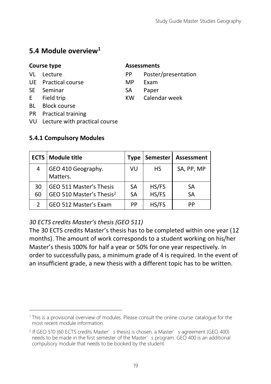## <span id="page-22-0"></span>**5.4 Module overview<sup>1</sup>**

#### **Course type Assessments**

#### VL Lecture **PP** Poster/presentation

- UE Practical course MP Exam
- SE Seminar SA Paper
- E Field trip KW Calendar week
- BL Block course
- PR Practical training
- VU Lecture with practical course

#### <span id="page-22-1"></span>**5.4.1 Compulsory Modules**

|          | <b>ECTS   Module title</b>                                      | Type     | <b>Semester</b> | Assessment |
|----------|-----------------------------------------------------------------|----------|-----------------|------------|
| 4        | GEO 410 Geography.<br>Matters.                                  | VU       | HS              | SA, PP, MP |
| 30<br>60 | GEO 511 Master's Thesis<br>GEO 510 Master's Thesis <sup>2</sup> | SА<br>SА | HS/FS<br>HS/FS  | SA<br>SA   |
|          | GEO 512 Master's Exam                                           | РP       | HS/FS           | PP         |

### *30 ECTS credits Master's thesis (GEO 511)*

The 30 ECTS credits Master's thesis has to be completed within one year (12 months). The amount of work corresponds to a student working on his/her Master's thesis 100% for half a year or 50% for one year respectively. In order to successfully pass, a minimum grade of 4 is required. In the event of an insufficient grade, a new thesis with a different topic has to be written.

<sup>1</sup> This is a provisional overview of modules. Please consult the online course catalogue for the most recent module information.

<sup>&</sup>lt;sup>2</sup> If GEO 510 (60 ECTS credits Master's thesis) is chosen, a Master's agreement (GEO 400) needs to be made in the first semester of the Master's program. GEO 400 is an additional compulsory module that needs to be booked by the student.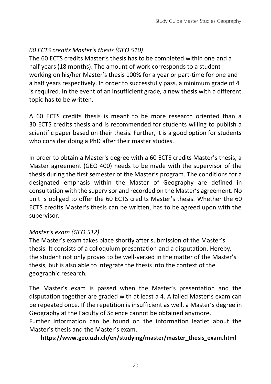### *60 ECTS credits Master's thesis (GEO 510)*

The 60 ECTS credits Master's thesis has to be completed within one and a half years (18 months). The amount of work corresponds to a student working on his/her Master's thesis 100% for a year or part-time for one and a half years respectively. In order to successfully pass, a minimum grade of 4 is required. In the event of an insufficient grade, a new thesis with a different topic has to be written.

A 60 ECTS credits thesis is meant to be more research oriented than a 30 ECTS credits thesis and is recommended for students willing to publish a scientific paper based on their thesis. Further, it is a good option for students who consider doing a PhD after their master studies.

In order to obtain a Master's degree with a 60 ECTS credits Master's thesis, a Master agreement (GEO 400) needs to be made with the supervisor of the thesis during the first semester of the Master's program. The conditions for a designated emphasis within the Master of Geography are defined in consultation with the supervisor and recorded on the Master's agreement. No unit is obliged to offer the 60 ECTS credits Master's thesis. Whether the 60 ECTS credits Master's thesis can be written, has to be agreed upon with the supervisor.

#### *Master's exam (GEO 512)*

The Master's exam takes place shortly after submission of the Master's thesis. It consists of a colloquium presentation and a disputation. Hereby, the student not only proves to be well-versed in the matter of the Master's thesis, but is also able to integrate the thesis into the context of the geographic research.

The Master's exam is passed when the Master's presentation and the disputation together are graded with at least a 4. A failed Master's exam can be repeated once. If the repetition is insufficient as well, a Master's degree in Geography at the Faculty of Science cannot be obtained anymore.

Further information can be found on the information leaflet about the Master's thesis and the Master's exam.

**[https://www.geo.uzh.ch/en/studying/master/master\\_thesis\\_exam.html](https://www.geo.uzh.ch/en/studying/master/master_thesis_exam.html)**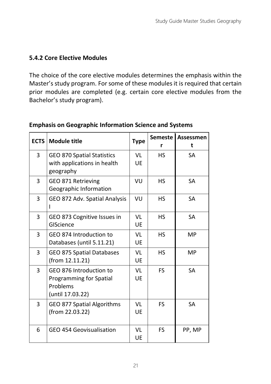### <span id="page-24-0"></span>**5.4.2 Core Elective Modules**

The choice of the core elective modules determines the emphasis within the Master's study program. For some of these modules it is required that certain prior modules are completed (e.g. certain core elective modules from the Bachelor's study program).

| <b>ECTS</b> | <b>Module title</b>                                                                | <b>Type</b> | <b>Semeste</b><br>r | Assessmen<br>t |
|-------------|------------------------------------------------------------------------------------|-------------|---------------------|----------------|
| 3           | <b>GEO 870 Spatial Statistics</b><br>with applications in health<br>geography      | VI<br>UE    | HS.                 | SA             |
| 3           | GEO 871 Retrieving<br>Geographic Information                                       | VU          | HS                  | SА             |
| 3           | GEO 872 Adv. Spatial Analysis                                                      | VU          | HS                  | <b>SA</b>      |
| 3           | GEO 873 Cognitive Issues in<br>GIScience                                           | VI<br>UE    | HS                  | <b>SA</b>      |
| 3           | GEO 874 Introduction to<br>Databases (until 5.11.21)                               | VI<br>UE    | HS                  | MP             |
| 3           | GEO 875 Spatial Databases<br>(from 12.11.21)                                       | VI<br>UE    | HS                  | MP             |
| 3           | GEO 876 Introduction to<br>Programming for Spatial<br>Problems<br>(until 17.03.22) | VI<br>UE    | FS.                 | <b>SA</b>      |
| 3           | GEO 877 Spatial Algorithms<br>(from 22.03.22)                                      | VI<br>UE    | <b>FS</b>           | <b>SA</b>      |
| 6           | GEO 454 Geovisualisation                                                           | VI<br>UE    | <b>FS</b>           | PP, MP         |

#### **Emphasis on Geographic Information Science and Systems**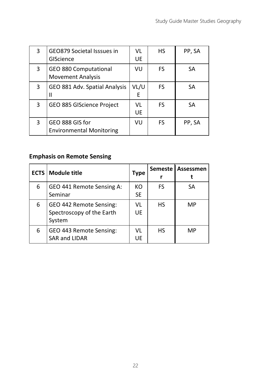| 3 | GEO879 Societal Isssues in<br>GIScience            | VL<br>UE  | HS | PP, SA |
|---|----------------------------------------------------|-----------|----|--------|
| 3 | GEO 880 Computational<br><b>Movement Analysis</b>  | VU        | FS | SA     |
| 3 | GEO 881 Adv. Spatial Analysis<br>Ш                 | VL/U<br>F | FS | SA     |
| 3 | GEO 885 GIScience Project                          | VI<br>UE  | FS | SA     |
| 3 | GEO 888 GIS for<br><b>Environmental Monitoring</b> | VU        | FS | PP, SA |

### **Emphasis on Remote Sensing**

|   | <b>ECTS   Module title</b>                                     | <b>Type</b>     | <b>Semeste</b> | <b>Assessmen</b> |
|---|----------------------------------------------------------------|-----------------|----------------|------------------|
| 6 | GEO 441 Remote Sensing A:<br>Seminar                           | КO<br><b>SE</b> | FS             | SA               |
| 6 | GEO 442 Remote Sensing:<br>Spectroscopy of the Earth<br>System | VL<br>UE        | HS             | MP               |
| 6 | GEO 443 Remote Sensing:<br><b>SAR and LIDAR</b>                | VI<br>UE        | <b>HS</b>      | MP               |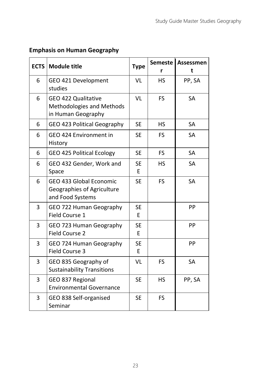### **Emphasis on Human Geography**

| <b>ECTS</b> | <b>Module title</b>                                                       | <b>Type</b>    | <b>Semeste</b><br>r | Assessmen<br>t |
|-------------|---------------------------------------------------------------------------|----------------|---------------------|----------------|
| 6           | GEO 421 Development<br>studies                                            | VI             | <b>HS</b>           | PP, SA         |
| 6           | GEO 422 Qualitative<br>Methodologies and Methods<br>in Human Geography    | VI             | FS.                 | <b>SA</b>      |
| 6           | GEO 423 Political Geography                                               | <b>SE</b>      | <b>HS</b>           | SA             |
| 6           | GEO 424 Environment in<br>History                                         | <b>SE</b>      | <b>FS</b>           | SA             |
| 6           | <b>GEO 425 Political Ecology</b>                                          | <b>SE</b>      | <b>FS</b>           | SA             |
| 6           | GEO 432 Gender, Work and<br>Space                                         | <b>SE</b><br>E | <b>HS</b>           | <b>SA</b>      |
| 6           | GEO 433 Global Economic<br>Geographies of Agriculture<br>and Food Systems | <b>SE</b>      | <b>FS</b>           | <b>SA</b>      |
| 3           | GEO 722 Human Geography<br>Field Course 1                                 | <b>SE</b><br>E |                     | PP             |
| 3           | GEO 723 Human Geography<br>Field Course 2                                 | <b>SE</b><br>E |                     | PP             |
| 3           | GEO 724 Human Geography<br>Field Course 3                                 | <b>SE</b><br>E |                     | PP             |
| 3           | GEO 835 Geography of<br><b>Sustainability Transitions</b>                 | VL             | FS                  | <b>SA</b>      |
| 3           | GEO 837 Regional<br><b>Environmental Governance</b>                       | <b>SE</b>      | <b>HS</b>           | PP, SA         |
| 3           | GEO 838 Self-organised<br>Seminar                                         | <b>SE</b>      | <b>FS</b>           |                |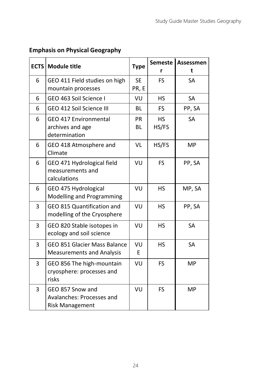|  |  | <b>Emphasis on Physical Geography</b> |
|--|--|---------------------------------------|
|--|--|---------------------------------------|

<span id="page-27-0"></span>

|   | <b>ECTS</b> Module title                                                | <b>Type</b> | <b>Semeste</b> | Assessmen<br>t |
|---|-------------------------------------------------------------------------|-------------|----------------|----------------|
| 6 | GEO 411 Field studies on high                                           | <b>SE</b>   | FS.            | <b>SA</b>      |
|   | mountain processes                                                      | PR, E       |                |                |
| 6 | GEO 463 Soil Science I                                                  | VU          | HS.            | SA             |
| 6 | GEO 412 Soil Science III                                                | <b>BL</b>   | <b>FS</b>      | PP, SA         |
| 6 | GEO 417 Environmental                                                   | <b>PR</b>   | <b>HS</b>      | <b>SA</b>      |
|   | archives and age<br>determination                                       | <b>BL</b>   | HS/FS          |                |
| 6 | GEO 418 Atmosphere and<br>Climate                                       | VL          | HS/FS          | <b>MP</b>      |
| 6 | GEO 471 Hydrological field<br>measurements and<br>calculations          | VU          | <b>FS</b>      | PP, SA         |
| 6 | GEO 475 Hydrological<br>Modelling and Programming                       | VU          | <b>HS</b>      | MP, SA         |
| 3 | GEO 815 Quantification and<br>modelling of the Cryosphere               | VU          | <b>HS</b>      | PP, SA         |
| 3 | GEO 820 Stable isotopes in<br>ecology and soil science                  | VU          | <b>HS</b>      | SA             |
| 3 | GEO 851 Glacier Mass Balance<br><b>Measurements and Analysis</b>        | VU<br>E     | <b>HS</b>      | SA             |
| 3 | GEO 856 The high-mountain<br>cryosphere: processes and<br>risks         | VU          | <b>FS</b>      | <b>MP</b>      |
| 3 | GEO 857 Snow and<br>Avalanches: Processes and<br><b>Risk Management</b> | VU          | FS             | <b>MP</b>      |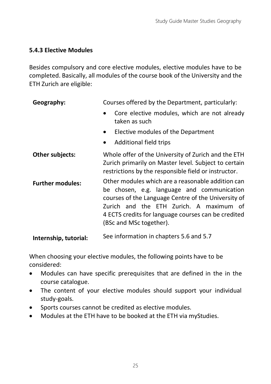### **5.4.3 Elective Modules**

Besides compulsory and core elective modules, elective modules have to be completed. Basically, all modules of the course book of the University and the ETH Zurich are eligible:

| Geography:              | Courses offered by the Department, particularly:                                                                                                                                                                                                                                    |  |  |
|-------------------------|-------------------------------------------------------------------------------------------------------------------------------------------------------------------------------------------------------------------------------------------------------------------------------------|--|--|
|                         | Core elective modules, which are not already<br>taken as such                                                                                                                                                                                                                       |  |  |
|                         | Elective modules of the Department<br>$\bullet$                                                                                                                                                                                                                                     |  |  |
|                         | Additional field trips<br>$\bullet$                                                                                                                                                                                                                                                 |  |  |
| Other subjects:         | Whole offer of the University of Zurich and the ETH<br>Zurich primarily on Master level. Subject to certain<br>restrictions by the responsible field or instructor.                                                                                                                 |  |  |
| <b>Further modules:</b> | Other modules which are a reasonable addition can<br>be chosen, e.g. language and communication<br>courses of the Language Centre of the University of<br>Zurich and the ETH Zurich. A maximum of<br>4 ECTS credits for language courses can be credited<br>(BSc and MSc together). |  |  |
| Internship, tutorial:   | See information in chapters 5.6 and 5.7                                                                                                                                                                                                                                             |  |  |

When choosing your elective modules, the following points have to be considered:

- Modules can have specific prerequisites that are defined in the in the course catalogue.
- The content of your elective modules should support your individual study-goals.
- Sports courses cannot be credited as elective modules.
- Modules at the ETH have to be booked at the ETH via myStudies.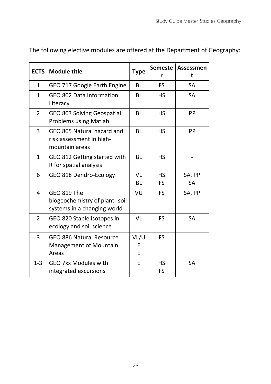| <b>ECTS</b>    | <b>Module title</b>                                                         | <b>Type</b>    | <b>Semeste</b><br>r    | Assessmen<br>t      |
|----------------|-----------------------------------------------------------------------------|----------------|------------------------|---------------------|
| $\mathbf{1}$   | GEO 717 Google Earth Engine                                                 | BL             | <b>FS</b>              | SA                  |
| 1              | GEO 802 Data Information<br>Literacy                                        | BL             | <b>HS</b>              | <b>SA</b>           |
| $\overline{2}$ | GEO 803 Solving Geospatial<br><b>Problems using Matlab</b>                  | BL             | <b>HS</b>              | <b>PP</b>           |
| 3              | GEO 805 Natural hazard and<br>risk assessment in high-<br>mountain areas    | BL             | HS.                    | PP                  |
| 1              | GEO 812 Getting started with<br>R for spatial analysis                      | BL             | HS                     |                     |
| 6              | GEO 818 Dendro-Ecology                                                      | VI<br>BL       | <b>HS</b><br><b>FS</b> | SA, PP<br><b>SA</b> |
| 4              | GEO 819 The<br>biogeochemistry of plant-soil<br>systems in a changing world | VU             | FS.                    | SA, PP              |
| $\overline{2}$ | GEO 820 Stable isotopes in<br>ecology and soil science                      | VI             | <b>FS</b>              | <b>SA</b>           |
| 3              | GEO 886 Natural Resource<br>Management of Mountain<br>Areas                 | VL/U<br>E<br>F | <b>FS</b>              |                     |
| $1-3$          | <b>GEO 7xx Modules with</b><br>integrated excursions                        | F              | HS.<br><b>FS</b>       | <b>SA</b>           |

The following elective modules are offered at the Department of Geography: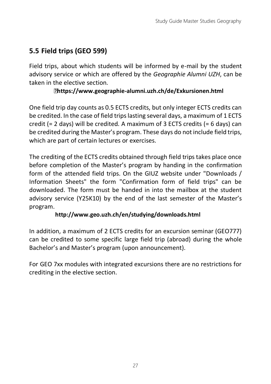## <span id="page-30-0"></span>**5.5 Field trips (GEO 599)**

Field trips, about which students will be informed by e-mail by the student advisory service or which are offered by the *Geographie Alumni UZH*, can be taken in the elective section.

#### **<https://www.geographie-alumni.uzh.ch/de/Exkursionen.html>**

One field trip day counts as 0.5 ECTS credits, but only integer ECTS credits can be credited. In the case of field trips lasting several days, a maximum of 1 ECTS credit (= 2 days) will be credited. A maximum of 3 ECTS credits (= 6 days) can be credited during the Master's program. These days do not include field trips, which are part of certain lectures or exercises.

The crediting of the ECTS credits obtained through field trips takes place once before completion of the Master's program by handing in the confirmation form of the attended field trips. On the GIUZ website under "Downloads / Information Sheets" the form "Confirmation form of field trips" can be downloaded. The form must be handed in into the mailbox at the student advisory service (Y25K10) by the end of the last semester of the Master's program.

#### **<http://www.geo.uzh.ch/en/studying/downloads.html>**

In addition, a maximum of 2 ECTS credits for an excursion seminar (GEO777) can be credited to some specific large field trip (abroad) during the whole Bachelor's and Master's program (upon announcement).

For GEO 7xx modules with integrated excursions there are no restrictions for crediting in the elective section.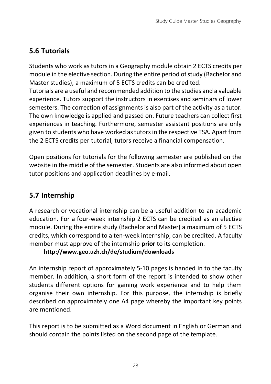## <span id="page-31-0"></span>**5.6 Tutorials**

Students who work as tutors in a Geography module obtain 2 ECTS credits per module in the elective section. During the entire period of study (Bachelor and Master studies), a maximum of 5 ECTS credits can be credited.

Tutorials are a useful and recommended addition to the studies and a valuable experience. Tutors support the instructors in exercises and seminars of lower semesters. The correction of assignments is also part of the activity as a tutor. The own knowledge is applied and passed on. Future teachers can collect first experiences in teaching. Furthermore, semester assistant positions are only given to students who have worked as tutors in the respective TSA. Apart from the 2 ECTS credits per tutorial, tutors receive a financial compensation.

Open positions for tutorials for the following semester are published on the website in the middle of the semester. Students are also informed about open tutor positions and application deadlines by e-mail.

## <span id="page-31-1"></span>**5.7 Internship**

A research or vocational internship can be a useful addition to an academic education. For a four-week internship 2 ECTS can be credited as an elective module. During the entire study (Bachelor and Master) a maximum of 5 ECTS credits, which correspond to a ten-week internship, can be credited. A faculty member must approve of the internship **prior** to its completion.

#### **<http://www.geo.uzh.ch/de/studium/downloads>**

An internship report of approximately 5-10 pages is handed in to the faculty member. In addition, a short form of the report is intended to show other students different options for gaining work experience and to help them organise their own internship. For this purpose, the internship is briefly described on approximately one A4 page whereby the important key points are mentioned.

This report is to be submitted as a Word document in English or German and should contain the points listed on the second page of the template.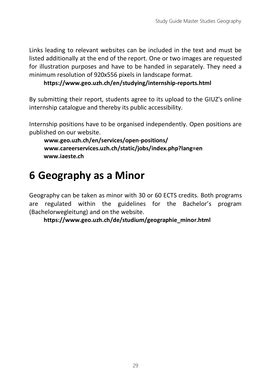Links leading to relevant websites can be included in the text and must be listed additionally at the end of the report. One or two images are requested for illustration purposes and have to be handed in separately. They need a minimum resolution of 920x556 pixels in landscape format.

**<https://www.geo.uzh.ch/en/studying/internship-reports.html>**

By submitting their report, students agree to its upload to the GIUZ's online internship catalogue and thereby its public accessibility.

Internship positions have to be organised independently. Open positions are published on our website.

**[www.geo.uzh.ch/en/services/open-positions/](http://www.geo.uzh.ch/en/services/open-positions/) [www.careerservices.uzh.ch/static/jobs/index.php?lang=en](http://www.careerservices.uzh.ch/static/jobs/index.php?lang=en) [www.iaeste.ch](http://www.iaeste.ch/)**

## <span id="page-32-0"></span>**6 Geography as a Minor**

Geography can be taken as minor with 30 or 60 ECTS credits. Both programs are regulated within the guidelines for the Bachelor's program (Bachelorwegleitung) and on the website.

**[https://www.geo.uzh.ch/de/studium/geographie\\_minor.html](https://www.geo.uzh.ch/de/studium/geographie_minor.html)**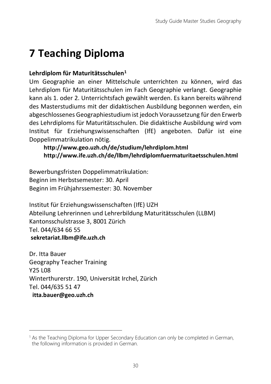## <span id="page-33-0"></span>**7 Teaching Diploma**

### **Lehrdiplom für Maturitätsschulen<sup>1</sup>**

Um Geographie an einer Mittelschule unterrichten zu können, wird das Lehrdiplom für Maturitätsschulen im Fach Geographie verlangt. Geographie kann als 1. oder 2. Unterrichtsfach gewählt werden. Es kann bereits während des Masterstudiums mit der didaktischen Ausbildung begonnen werden, ein abgeschlossenes Geographiestudium ist jedoch Voraussetzung für den Erwerb des Lehrdiploms für Maturitätsschulen. Die didaktische Ausbildung wird vom Institut für Erziehungswissenschaften (IfE) angeboten. Dafür ist eine Doppelimmatrikulation nötig.

#### **<http://www.geo.uzh.ch/de/studium/lehrdiplom.html> <http://www.ife.uzh.ch/de/llbm/lehrdiplomfuermaturitaetsschulen.html>**

Bewerbungsfristen Doppelimmatrikulation: Beginn im Herbstsemester: 30. April Beginn im Frühjahrssemester: 30. November

Institut für Erziehungswissenschaften (IfE) UZH Abteilung Lehrerinnen und Lehrerbildung Maturitätsschulen (LLBM) Kantonsschulstrasse 3, 8001 Zürich Tel. 044/634 66 55 **[sekretariat.llbm@ife.uzh.ch](mailto:sekretariat.llbm@ife.uzh.ch)**

Dr. Itta Bauer Geography Teacher Training Y25 L08 Winterthurerstr. 190, Universität Irchel, Zürich Tel. 044/635 51 47 **[itta.bauer@geo.uzh.ch](mailto:itta.bauer@geo.uzh.ch)**

<sup>&</sup>lt;sup>1</sup> As the Teaching Diploma for Upper Secondary Education can only be completed in German, the following information is provided in German.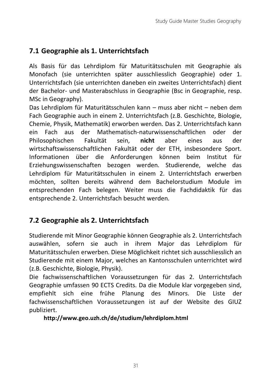## <span id="page-34-0"></span>**7.1 Geographie als 1. Unterrichtsfach**

Als Basis für das Lehrdiplom für Maturitätsschulen mit Geographie als Monofach (sie unterrichten später ausschliesslich Geographie) oder 1. Unterrichtsfach (sie unterrichten daneben ein zweites Unterrichtsfach) dient der Bachelor- und Masterabschluss in Geographie (Bsc in Geographie, resp. MSc in Geography).

Das Lehrdiplom für Maturitätsschulen kann – muss aber nicht – neben dem Fach Geographie auch in einem 2. Unterrichtsfach (z.B. Geschichte, Biologie, Chemie, Physik, Mathematik) erworben werden. Das 2. Unterrichtsfach kann ein Fach aus der Mathematisch-naturwissenschaftlichen oder der Philosophischen Fakultät sein, **nicht** aber eines aus der wirtschaftswissenschaftlichen Fakultät oder der ETH, insbesondere Sport. Informationen über die Anforderungen können beim Institut für Erziehungswissenschaften bezogen werden. Studierende, welche das Lehrdiplom für Maturitätsschulen in einem 2. Unterrichtsfach erwerben möchten, sollten bereits während dem Bachelorstudium Module im entsprechenden Fach belegen. Weiter muss die Fachdidaktik für das entsprechende 2. Unterrichtsfach besucht werden.

## <span id="page-34-1"></span>**7.2 Geographie als 2. Unterrichtsfach**

Studierende mit Minor Geographie können Geographie als 2. Unterrichtsfach auswählen, sofern sie auch in ihrem Major das Lehrdiplom für Maturitätsschulen erwerben. Diese Möglichkeit richtet sich ausschliesslich an Studierende mit einem Major, welches an Kantonsschulen unterrichtet wird (z.B. Geschichte, Biologie, Physik).

Die fachwissenschaftlichen Voraussetzungen für das 2. Unterrichtsfach Geographie umfassen 90 ECTS Credits. Da die Module klar vorgegeben sind, empfiehlt sich eine frühe Planung des Minors. Die Liste der fachwissenschaftlichen Voraussetzungen ist auf der Website des GIUZ publiziert.

**<http://www.geo.uzh.ch/de/studium/lehrdiplom.html>**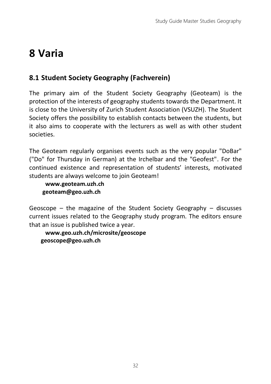## <span id="page-35-0"></span>**8 Varia**

## <span id="page-35-1"></span>**8.1 Student Society Geography (Fachverein)**

The primary aim of the Student Society Geography (Geoteam) is the protection of the interests of geography students towards the Department. It is close to the University of Zurich Student Association (VSUZH). The Student Society offers the possibility to establish contacts between the students, but it also aims to cooperate with the lecturers as well as with other student societies.

The Geoteam regularly organises events such as the very popular "DoBar" ("Do" for Thursday in German) at the Irchelbar and the "Geofest". For the continued existence and representation of students' interests, motivated students are always welcome to join Geoteam!

**[www.geoteam.uzh.ch](http://www.geoteam.uzh.ch/) [geoteam@geo.uzh.ch](mailto:geoteam@geo.uzh.ch)**

Geoscope – the magazine of the Student Society Geography – discusses current issues related to the Geography study program. The editors ensure that an issue is published twice a year.

**[www.geo.uzh.ch/microsite/geoscope](http://www.geo.uzh.ch/microsite/geoscope) [geoscope@geo.uzh.ch](mailto:geoscope@geo.uzh.ch)**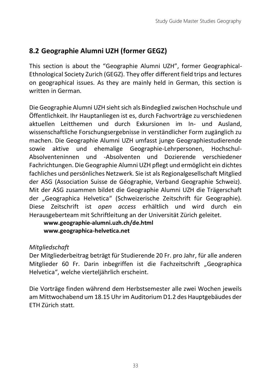## <span id="page-36-0"></span>**8.2 Geographie Alumni UZH (former GEGZ)**

This section is about the "Geographie Alumni UZH", former Geographical-Ethnological Society Zurich (GEGZ). They offer different field trips and lectures on geographical issues. As they are mainly held in German, this section is written in German.

Die Geographie Alumni UZH sieht sich als Bindeglied zwischen Hochschule und Öffentlichkeit. Ihr Hauptanliegen ist es, durch Fachvorträge zu verschiedenen aktuellen Leitthemen und durch Exkursionen im In- und Ausland, wissenschaftliche Forschungsergebnisse in verständlicher Form zugänglich zu machen. Die Geographie Alumni UZH umfasst junge Geographiestudierende sowie aktive und ehemalige Geographie-Lehrpersonen, Hochschul-Absolventeninnen und -Absolventen und Dozierende verschiedener Fachrichtungen. Die Geographie Alumni UZH pflegt und ermöglicht ein dichtes fachliches und persönliches Netzwerk. Sie ist als Regionalgesellschaft Mitglied der ASG (Association Suisse de Géographie, Verband Geographie Schweiz). Mit der ASG zusammen bildet die Geographie Alumni UZH die Trägerschaft der "Geographica Helvetica" (Schweizerische Zeitschrift für Geographie). Diese Zeitschrift ist *open access* erhältlich und wird durch ein Herausgeberteam mit Schriftleitung an der Universität Zürich geleitet.

**[www.geographie-alumni.uzh.ch/de.html](http://www.geographie-alumni.uzh.ch/de.html) [www.geographica-helvetica.net](http://www.geographica-helvetica.net/)**

### *Mitgliedschaft*

Der Mitgliederbeitrag beträgt für Studierende 20 Fr. pro Jahr, für alle anderen Mitglieder 60 Fr. Darin inbegriffen ist die Fachzeitschrift "Geographica Helvetica", welche vierteljährlich erscheint.

Die Vorträge finden während dem Herbstsemester alle zwei Wochen jeweils am Mittwochabend um 18.15 Uhr im Auditorium D1.2 des Hauptgebäudes der ETH Zürich statt.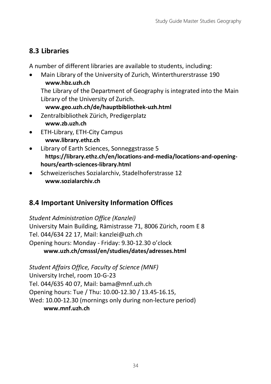## <span id="page-37-0"></span>**8.3 Libraries**

A number of different libraries are available to students, including:

- Main Library of the University of Zurich, Winterthurerstrasse 190 **[www.hbz.uzh.ch](http://www.hbz.uzh.ch/)** The Library of the Department of Geography is integrated into the Main Library of the University of Zurich. **[www.geo.uzh.ch/de/hauptbibliothek-uzh.html](http://www.geo.uzh.ch/de/hauptbibliothek-uzh.html)**
- Zentralbibliothek Zürich, Predigerplatz **[www.zb.uzh.ch](http://www.zb.uzh.ch/)**
- ETH-Library, ETH-City Campus **[www.library.ethz.ch](http://www.library.ethz.ch/de/)**
- Library of Earth Sciences, Sonneggstrasse 5 **[https://library.ethz.ch/en/locations-and-media/locations-and-opening](https://library.ethz.ch/en/locations-and-media/locations-and-opening-hours/earth-sciences-library.html)[hours/earth-sciences-library.html](https://library.ethz.ch/en/locations-and-media/locations-and-opening-hours/earth-sciences-library.html)**
- Schweizerisches Sozialarchiv, Stadelhoferstrasse 12 **[www.sozialarchiv.ch](http://www.sozialarchiv.ch/)**

## <span id="page-37-1"></span>**8.4 Important University Information Offices**

*Student Administration Office (Kanzlei)* University Main Building, Rämistrasse 71, 8006 Zürich, room E 8 Tel. 044/634 22 17, Mail: kanzlei@uzh.ch Opening hours: Monday - Friday: 9.30-12.30 o'clock **[www.uzh.ch/cmsssl/en/studies/dates/adresses.html](http://www.uzh.ch/cmsssl/en/studies/dates/adresses.html)**

*Student Affairs Office, Faculty of Science (MNF)* University Irchel, room 10-G-23 Tel. 044/635 40 07, Mail: bama@mnf.uzh.ch Opening hours: Tue / Thu: 10.00-12.30 / 13.45-16.15, Wed: 10.00-12.30 (mornings only during non-lecture period) **[www.mnf.uzh.ch](http://www.mnf.uzh.ch/)**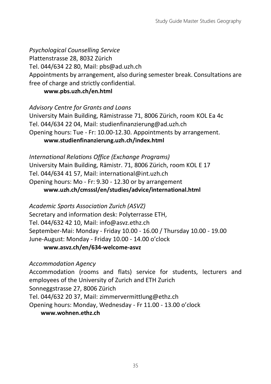#### *Psychological Counselling Service*

Plattenstrasse 28, 8032 Zürich

Tel. 044/634 22 80, Mail: pbs@ad.uzh.ch

Appointments by arrangement, also during semester break. Consultations are free of charge and strictly confidential.

#### **[www.pbs.uzh.ch/en.html](http://www.pbs.uzh.ch/en.html)**

*Advisory Centre for Grants and Loans* University Main Building, Rämistrasse 71, 8006 Zürich, room KOL Ea 4c Tel. 044/634 22 04, Mail: studienfinanzierung@ad.uzh.ch Opening hours: Tue - Fr: 10.00-12.30. Appointments by arrangement.

#### **[www.studienfinanzierung.uzh.ch/index.html](https://www.studienfinanzierung.uzh.ch/en.html)**

*International Relations Office (Exchange Programs)* University Main Building, Rämistr. 71, 8006 Zürich, room KOL E 17 Tel. 044/634 41 57, Mail: international@int.uzh.ch Opening hours: Mo - Fr: 9.30 - 12.30 or by arrangement **[www.uzh.ch/cmsssl/en/studies/advice/international.html](http://www.uzh.ch/cmsssl/en/studies/advice/international.html)**

*Academic Sports Association Zurich (ASVZ)* Secretary and information desk: Polyterrasse ETH, Tel. 044/632 42 10, Mail: info@asvz.ethz.ch September-Mai: Monday - Friday 10.00 - 16.00 / Thursday 10.00 - 19.00 June-August: Monday - Friday 10.00 - 14.00 o'clock

#### **[www.asvz.ch/en/634-welcome-asvz](http://www.asvz.ch/en/634-welcome-asvz)**

*Accommodation Agency* Accommodation (rooms and flats) service for students, lecturers and employees of the University of Zurich and ETH Zurich Sonneggstrasse 27, 8006 Zürich Tel. 044/632 20 37, Mail: zimmervermittlung@ethz.ch Opening hours: Monday, Wednesday - Fr 11.00 - 13.00 o'clock **[www.wohnen.ethz.ch](http://www.wohnen.ethz.ch/)**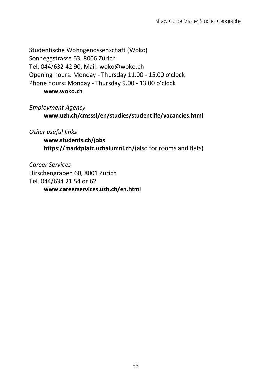Studentische Wohngenossenschaft (Woko) Sonneggstrasse 63, 8006 Zürich Tel. 044/632 42 90, Mail: woko@woko.ch Opening hours: Monday - Thursday 11.00 - 15.00 o'clock Phone hours: Monday - Thursday 9.00 - 13.00 o'clock **[www.woko.ch](http://www.woko.ch/)**

*Employment Agency* **[www.uzh.ch/cmsssl/en/studies/studentlife/vacancies.html](http://www.uzh.ch/cmsssl/en/studies/studentlife/vacancies.html)**

*Other useful links*

**[www.students.ch/jobs](http://www.students.ch/jobs) <https://marktplatz.uzhalumni.ch/>**(also for rooms and flats)

*Career Services* Hirschengraben 60, 8001 Zürich Tel. 044/634 21 54 or 62 **[www.careerservices.uzh.ch/en.html](https://www.careerservices.uzh.ch/en.html)**